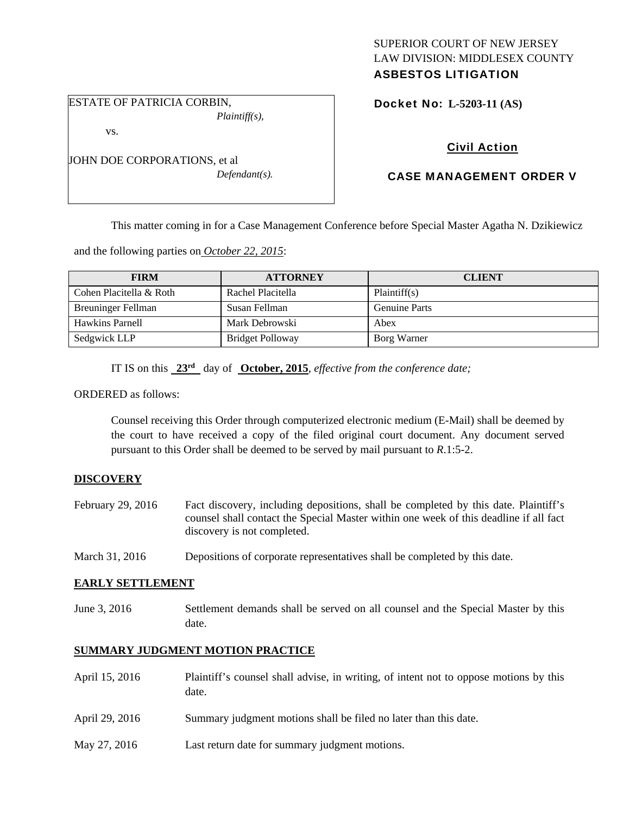# SUPERIOR COURT OF NEW JERSEY LAW DIVISION: MIDDLESEX COUNTY

# ASBESTOS LITIGATION

ESTATE OF PATRICIA CORBIN, *Plaintiff(s),* 

vs.

JOHN DOE CORPORATIONS, et al *Defendant(s).*  Docket No: **L-5203-11 (AS)** 

# Civil Action

# CASE MANAGEMENT ORDER V

This matter coming in for a Case Management Conference before Special Master Agatha N. Dzikiewicz

and the following parties on *October 22, 2015*:

| <b>FIRM</b>             | <b>ATTORNEY</b>   | <b>CLIENT</b>        |
|-------------------------|-------------------|----------------------|
| Cohen Placitella & Roth | Rachel Placitella | Plaintiff(s)         |
| Breuninger Fellman      | Susan Fellman     | <b>Genuine Parts</b> |
| Hawkins Parnell         | Mark Debrowski    | Abex                 |
| Sedgwick LLP            | Bridget Polloway  | Borg Warner          |

IT IS on this **23rd** day of **October, 2015**, *effective from the conference date;*

ORDERED as follows:

Counsel receiving this Order through computerized electronic medium (E-Mail) shall be deemed by the court to have received a copy of the filed original court document. Any document served pursuant to this Order shall be deemed to be served by mail pursuant to *R*.1:5-2.

### **DISCOVERY**

- February 29, 2016 Fact discovery, including depositions, shall be completed by this date. Plaintiff's counsel shall contact the Special Master within one week of this deadline if all fact discovery is not completed.
- March 31, 2016 Depositions of corporate representatives shall be completed by this date.

#### **EARLY SETTLEMENT**

June 3, 2016 Settlement demands shall be served on all counsel and the Special Master by this date.

## **SUMMARY JUDGMENT MOTION PRACTICE**

| April 15, 2016 | Plaintiff's counsel shall advise, in writing, of intent not to oppose motions by this<br>date. |
|----------------|------------------------------------------------------------------------------------------------|
| April 29, 2016 | Summary judgment motions shall be filed no later than this date.                               |
| May 27, 2016   | Last return date for summary judgment motions.                                                 |